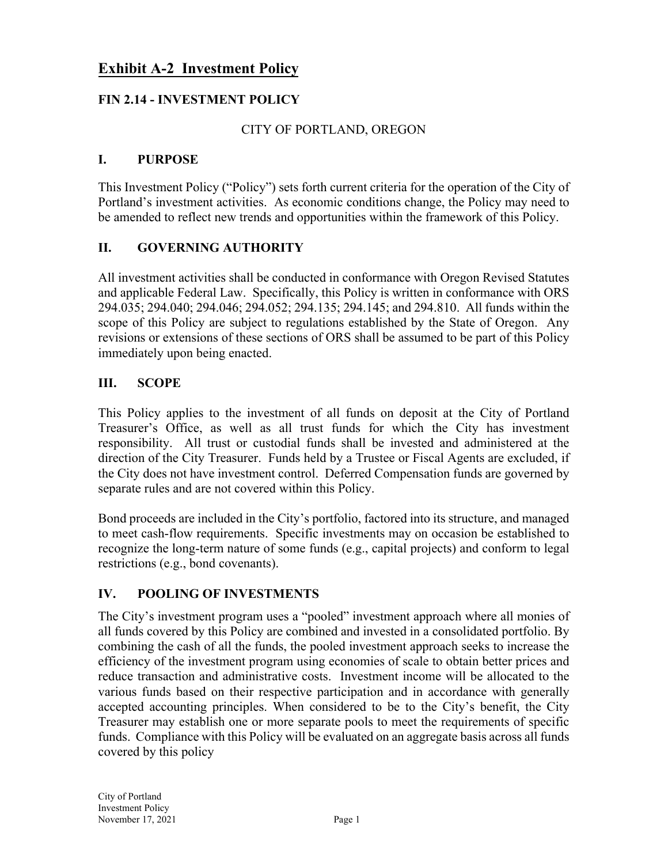# **Exhibit A-2 Investment Policy**

## **FIN 2.14 - INVESTMENT POLICY**

#### CITY OF PORTLAND, OREGON

#### **I. PURPOSE**

This Investment Policy ("Policy") sets forth current criteria for the operation of the City of Portland's investment activities. As economic conditions change, the Policy may need to be amended to reflect new trends and opportunities within the framework of this Policy.

#### **II. GOVERNING AUTHORITY**

All investment activities shall be conducted in conformance with Oregon Revised Statutes and applicable Federal Law. Specifically, this Policy is written in conformance with ORS 294.035; 294.040; 294.046; 294.052; 294.135; 294.145; and 294.810. All funds within the scope of this Policy are subject to regulations established by the State of Oregon. Any revisions or extensions of these sections of ORS shall be assumed to be part of this Policy immediately upon being enacted.

#### **III. SCOPE**

This Policy applies to the investment of all funds on deposit at the City of Portland Treasurer's Office, as well as all trust funds for which the City has investment responsibility. All trust or custodial funds shall be invested and administered at the direction of the City Treasurer. Funds held by a Trustee or Fiscal Agents are excluded, if the City does not have investment control. Deferred Compensation funds are governed by separate rules and are not covered within this Policy.

Bond proceeds are included in the City's portfolio, factored into its structure, and managed to meet cash-flow requirements. Specific investments may on occasion be established to recognize the long-term nature of some funds (e.g., capital projects) and conform to legal restrictions (e.g., bond covenants).

#### **IV. POOLING OF INVESTMENTS**

The City's investment program uses a "pooled" investment approach where all monies of all funds covered by this Policy are combined and invested in a consolidated portfolio. By combining the cash of all the funds, the pooled investment approach seeks to increase the efficiency of the investment program using economies of scale to obtain better prices and reduce transaction and administrative costs. Investment income will be allocated to the various funds based on their respective participation and in accordance with generally accepted accounting principles. When considered to be to the City's benefit, the City Treasurer may establish one or more separate pools to meet the requirements of specific funds. Compliance with this Policy will be evaluated on an aggregate basis across all funds covered by this policy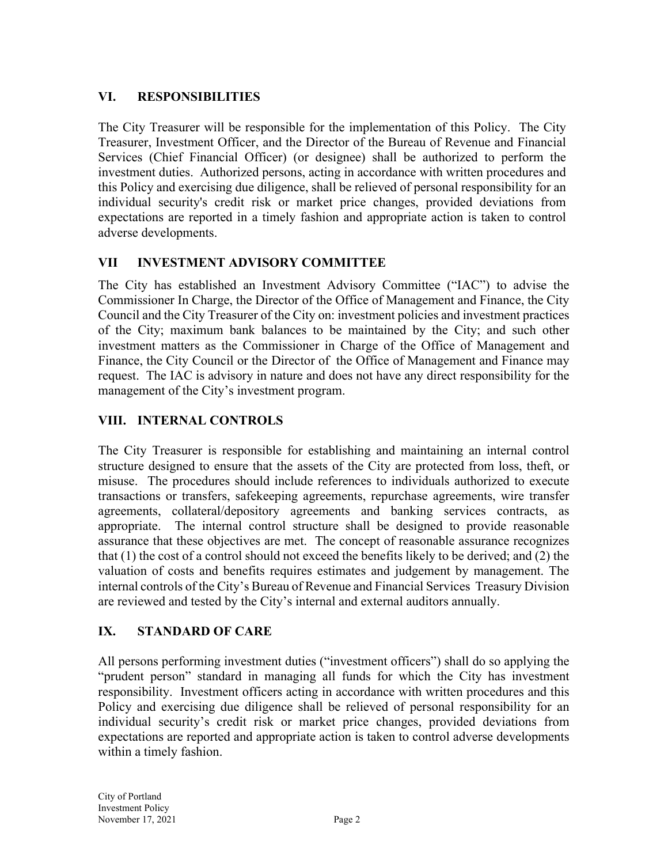## **VI. RESPONSIBILITIES**

The City Treasurer will be responsible for the implementation of this Policy. The City Treasurer, Investment Officer, and the Director of the Bureau of Revenue and Financial Services (Chief Financial Officer) (or designee) shall be authorized to perform the investment duties. Authorized persons, acting in accordance with written procedures and this Policy and exercising due diligence, shall be relieved of personal responsibility for an individual security's credit risk or market price changes, provided deviations from expectations are reported in a timely fashion and appropriate action is taken to control adverse developments.

# **VII INVESTMENT ADVISORY COMMITTEE**

The City has established an Investment Advisory Committee ("IAC") to advise the Commissioner In Charge, the Director of the Office of Management and Finance, the City Council and the City Treasurer of the City on: investment policies and investment practices of the City; maximum bank balances to be maintained by the City; and such other investment matters as the Commissioner in Charge of the Office of Management and Finance, the City Council or the Director of the Office of Management and Finance may request. The IAC is advisory in nature and does not have any direct responsibility for the management of the City's investment program.

# **VIII. INTERNAL CONTROLS**

The City Treasurer is responsible for establishing and maintaining an internal control structure designed to ensure that the assets of the City are protected from loss, theft, or misuse. The procedures should include references to individuals authorized to execute transactions or transfers, safekeeping agreements, repurchase agreements, wire transfer agreements, collateral/depository agreements and banking services contracts, as appropriate. The internal control structure shall be designed to provide reasonable assurance that these objectives are met. The concept of reasonable assurance recognizes that (1) the cost of a control should not exceed the benefits likely to be derived; and (2) the valuation of costs and benefits requires estimates and judgement by management. The internal controls of the City's Bureau of Revenue and Financial Services Treasury Division are reviewed and tested by the City's internal and external auditors annually.

# **IX. STANDARD OF CARE**

All persons performing investment duties ("investment officers") shall do so applying the "prudent person" standard in managing all funds for which the City has investment responsibility. Investment officers acting in accordance with written procedures and this Policy and exercising due diligence shall be relieved of personal responsibility for an individual security's credit risk or market price changes, provided deviations from expectations are reported and appropriate action is taken to control adverse developments within a timely fashion.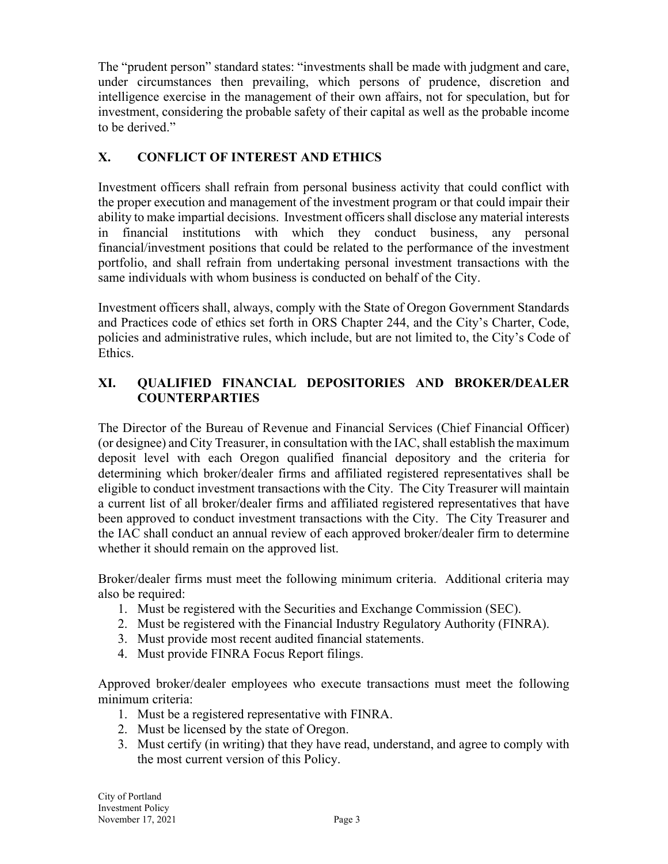The "prudent person" standard states: "investments shall be made with judgment and care, under circumstances then prevailing, which persons of prudence, discretion and intelligence exercise in the management of their own affairs, not for speculation, but for investment, considering the probable safety of their capital as well as the probable income to be derived."

# **X. CONFLICT OF INTEREST AND ETHICS**

Investment officers shall refrain from personal business activity that could conflict with the proper execution and management of the investment program or that could impair their ability to make impartial decisions. Investment officers shall disclose any material interests in financial institutions with which they conduct business, any personal financial/investment positions that could be related to the performance of the investment portfolio, and shall refrain from undertaking personal investment transactions with the same individuals with whom business is conducted on behalf of the City.

Investment officers shall, always, comply with the State of Oregon Government Standards and Practices code of ethics set forth in ORS Chapter 244, and the City's Charter, Code, policies and administrative rules, which include, but are not limited to, the City's Code of Ethics.

## **XI. QUALIFIED FINANCIAL DEPOSITORIES AND BROKER/DEALER COUNTERPARTIES**

The Director of the Bureau of Revenue and Financial Services (Chief Financial Officer) (or designee) and City Treasurer, in consultation with the IAC, shall establish the maximum deposit level with each Oregon qualified financial depository and the criteria for determining which broker/dealer firms and affiliated registered representatives shall be eligible to conduct investment transactions with the City. The City Treasurer will maintain a current list of all broker/dealer firms and affiliated registered representatives that have been approved to conduct investment transactions with the City. The City Treasurer and the IAC shall conduct an annual review of each approved broker/dealer firm to determine whether it should remain on the approved list.

Broker/dealer firms must meet the following minimum criteria. Additional criteria may also be required:

- 1. Must be registered with the Securities and Exchange Commission (SEC).
- 2. Must be registered with the Financial Industry Regulatory Authority (FINRA).
- 3. Must provide most recent audited financial statements.
- 4. Must provide FINRA Focus Report filings.

Approved broker/dealer employees who execute transactions must meet the following minimum criteria:

- 1. Must be a registered representative with FINRA.
- 2. Must be licensed by the state of Oregon.
- 3. Must certify (in writing) that they have read, understand, and agree to comply with the most current version of this Policy.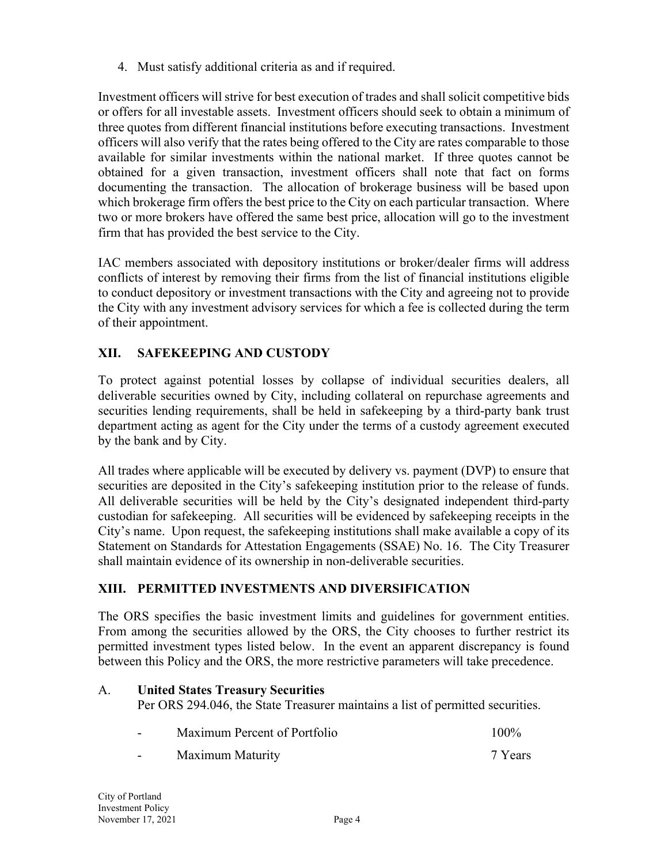4. Must satisfy additional criteria as and if required.

Investment officers will strive for best execution of trades and shall solicit competitive bids or offers for all investable assets. Investment officers should seek to obtain a minimum of three quotes from different financial institutions before executing transactions. Investment officers will also verify that the rates being offered to the City are rates comparable to those available for similar investments within the national market. If three quotes cannot be obtained for a given transaction, investment officers shall note that fact on forms documenting the transaction. The allocation of brokerage business will be based upon which brokerage firm offers the best price to the City on each particular transaction. Where two or more brokers have offered the same best price, allocation will go to the investment firm that has provided the best service to the City.

IAC members associated with depository institutions or broker/dealer firms will address conflicts of interest by removing their firms from the list of financial institutions eligible to conduct depository or investment transactions with the City and agreeing not to provide the City with any investment advisory services for which a fee is collected during the term of their appointment.

# **XII. SAFEKEEPING AND CUSTODY**

To protect against potential losses by collapse of individual securities dealers, all deliverable securities owned by City, including collateral on repurchase agreements and securities lending requirements, shall be held in safekeeping by a third-party bank trust department acting as agent for the City under the terms of a custody agreement executed by the bank and by City.

All trades where applicable will be executed by delivery vs. payment (DVP) to ensure that securities are deposited in the City's safekeeping institution prior to the release of funds. All deliverable securities will be held by the City's designated independent third-party custodian for safekeeping. All securities will be evidenced by safekeeping receipts in the City's name. Upon request, the safekeeping institutions shall make available a copy of its Statement on Standards for Attestation Engagements (SSAE) No. 16. The City Treasurer shall maintain evidence of its ownership in non-deliverable securities.

## **XIII. PERMITTED INVESTMENTS AND DIVERSIFICATION**

The ORS specifies the basic investment limits and guidelines for government entities. From among the securities allowed by the ORS, the City chooses to further restrict its permitted investment types listed below. In the event an apparent discrepancy is found between this Policy and the ORS, the more restrictive parameters will take precedence.

#### Α. **United States Treasury Securities**

Per ORS 294.046, the State Treasurer maintains a list of permitted securities.

| $\sim$ | Maximum Percent of Portfolio | $100\%$ |
|--------|------------------------------|---------|
|        |                              |         |

- Maximum Maturity 7 Years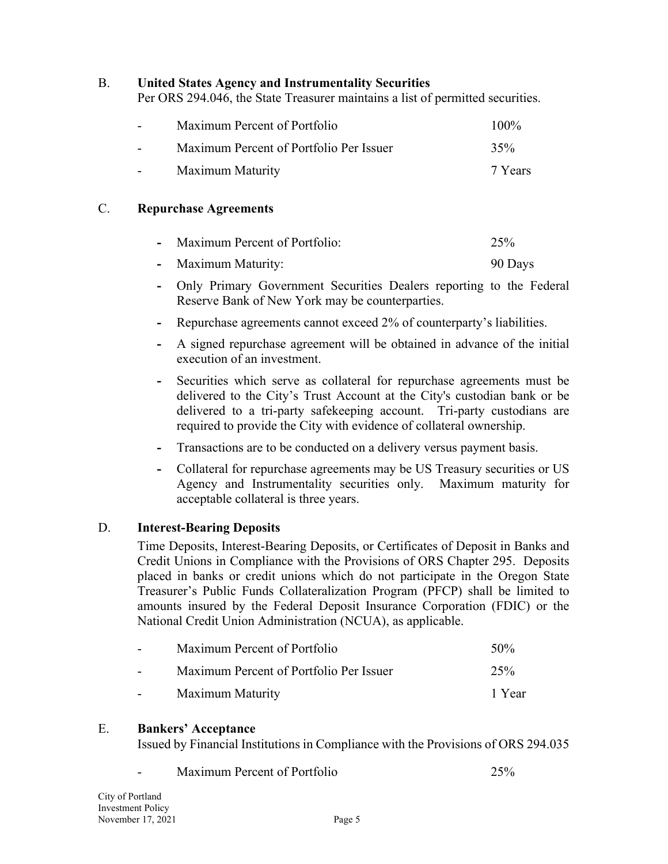#### Β. **United States Agency and Instrumentality Securities**

Per ORS 294.046, the State Treasurer maintains a list of permitted securities.

| $\overline{\phantom{0}}$ | Maximum Percent of Portfolio            | $100\%$ |
|--------------------------|-----------------------------------------|---------|
| $\sim$                   | Maximum Percent of Portfolio Per Issuer | 35%     |
| $\sim$ 100 $\pm$         | Maximum Maturity                        | 7 Years |

#### C. **Repurchase Agreements**

| - Maximum Percent of Portfolio: | 25%     |
|---------------------------------|---------|
| - Maximum Maturity:             | 90 Days |

- **-** Only Primary Government Securities Dealers reporting to the Federal Reserve Bank of New York may be counterparties.
- **-** Repurchase agreements cannot exceed 2% of counterparty's liabilities.
- **-** A signed repurchase agreement will be obtained in advance of the initial execution of an investment.
- **-** Securities which serve as collateral for repurchase agreements must be delivered to the City's Trust Account at the City's custodian bank or be delivered to a tri-party safekeeping account. Tri-party custodians are required to provide the City with evidence of collateral ownership.
- **-** Transactions are to be conducted on a delivery versus payment basis.
- **-** Collateral for repurchase agreements may be US Treasury securities or US Agency and Instrumentality securities only. Maximum maturity for acceptable collateral is three years.

#### D. **Interest-Bearing Deposits**

Time Deposits, Interest-Bearing Deposits, or Certificates of Deposit in Banks and Credit Unions in Compliance with the Provisions of ORS Chapter 295. Deposits placed in banks or credit unions which do not participate in the Oregon State Treasurer's Public Funds Collateralization Program (PFCP) shall be limited to amounts insured by the Federal Deposit Insurance Corporation (FDIC) or the National Credit Union Administration (NCUA), as applicable.

| $\sim$ 100 $\sim$ | Maximum Percent of Portfolio            | 50 <sub>%</sub> |
|-------------------|-----------------------------------------|-----------------|
|                   | Maximum Percent of Portfolio Per Issuer | 25%             |
|                   | Maximum Maturity                        | 1 Year          |

#### E. **Bankers' Acceptance**

Issued by Financial Institutions in Compliance with the Provisions of ORS 294.035

- Maximum Percent of Portfolio 25%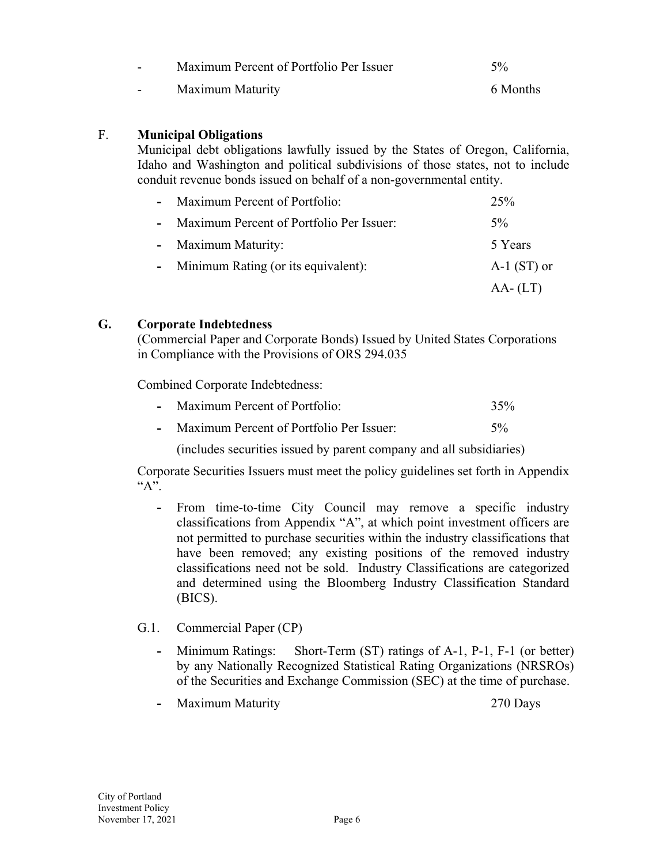| - 1 | Maximum Percent of Portfolio Per Issuer | $5\%$    |
|-----|-----------------------------------------|----------|
| - 1 | Maximum Maturity                        | 6 Months |

#### F. **Municipal Obligations**

Municipal debt obligations lawfully issued by the States of Oregon, California, Idaho and Washington and political subdivisions of those states, not to include conduit revenue bonds issued on behalf of a non-governmental entity.

|  | - Maximum Percent of Portfolio:            | 25%           |
|--|--------------------------------------------|---------------|
|  | - Maximum Percent of Portfolio Per Issuer: | $5\%$         |
|  | - Maximum Maturity:                        | 5 Years       |
|  | - Minimum Rating (or its equivalent):      | $A-1$ (ST) or |
|  |                                            | $AA$ - (LT)   |

#### **G. Corporate Indebtedness**

(Commercial Paper and Corporate Bonds) Issued by United States Corporations in Compliance with the Provisions of ORS 294.035

Combined Corporate Indebtedness:

|  | Maximum Percent of Portfolio: | 35% |
|--|-------------------------------|-----|
|--|-------------------------------|-----|

|  | Maximum Percent of Portfolio Per Issuer: |  |
|--|------------------------------------------|--|
|--|------------------------------------------|--|

(includes securities issued by parent company and all subsidiaries)

Corporate Securities Issuers must meet the policy guidelines set forth in Appendix  $A$ ".

- **-** From time-to-time City Council may remove a specific industry classifications from Appendix "A", at which point investment officers are not permitted to purchase securities within the industry classifications that have been removed; any existing positions of the removed industry classifications need not be sold. Industry Classifications are categorized and determined using the Bloomberg Industry Classification Standard (BICS).
- G.1. Commercial Paper (CP)
	- **-** Minimum Ratings: Short-Term (ST) ratings of A-1, P-1, F-1 (or better) by any Nationally Recognized Statistical Rating Organizations (NRSROs) of the Securities and Exchange Commission (SEC) at the time of purchase.
	- **-** Maximum Maturity 270 Days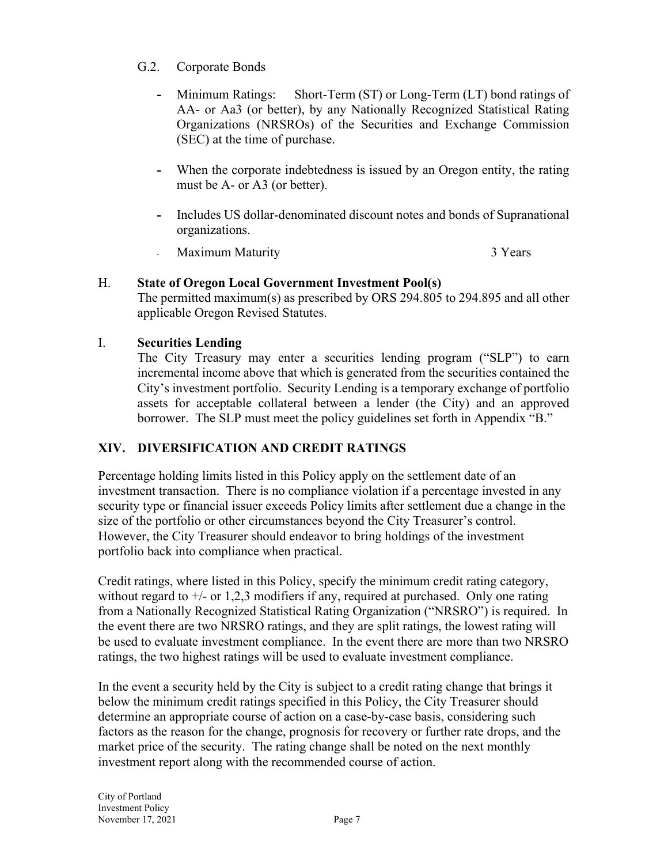- G.2. Corporate Bonds
	- **-** Minimum Ratings: Short-Term (ST) or Long-Term (LT) bond ratings of AA- or Aa3 (or better), by any Nationally Recognized Statistical Rating Organizations (NRSROs) of the Securities and Exchange Commission (SEC) at the time of purchase.
	- **-** When the corporate indebtedness is issued by an Oregon entity, the rating must be A- or A3 (or better).
	- **-** Includes US dollar-denominated discount notes and bonds of Supranational organizations.

**Maximum Maturity** 3 Years

# H. **State of Oregon Local Government Investment Pool(s)**

The permitted maximum(s) as prescribed by ORS 294.805 to 294.895 and all other applicable Oregon Revised Statutes.

## I. **Securities Lending**

The City Treasury may enter a securities lending program ("SLP") to earn incremental income above that which is generated from the securities contained the City's investment portfolio. Security Lending is a temporary exchange of portfolio assets for acceptable collateral between a lender (the City) and an approved borrower. The SLP must meet the policy guidelines set forth in Appendix "B."

# **XIV. DIVERSIFICATION AND CREDIT RATINGS**

Percentage holding limits listed in this Policy apply on the settlement date of an investment transaction. There is no compliance violation if a percentage invested in any security type or financial issuer exceeds Policy limits after settlement due a change in the size of the portfolio or other circumstances beyond the City Treasurer's control. However, the City Treasurer should endeavor to bring holdings of the investment portfolio back into compliance when practical.

Credit ratings, where listed in this Policy, specify the minimum credit rating category, without regard to  $+/-$  or 1,2,3 modifiers if any, required at purchased. Only one rating from a Nationally Recognized Statistical Rating Organization ("NRSRO") is required. In the event there are two NRSRO ratings, and they are split ratings, the lowest rating will be used to evaluate investment compliance. In the event there are more than two NRSRO ratings, the two highest ratings will be used to evaluate investment compliance.

In the event a security held by the City is subject to a credit rating change that brings it below the minimum credit ratings specified in this Policy, the City Treasurer should determine an appropriate course of action on a case-by-case basis, considering such factors as the reason for the change, prognosis for recovery or further rate drops, and the market price of the security. The rating change shall be noted on the next monthly investment report along with the recommended course of action.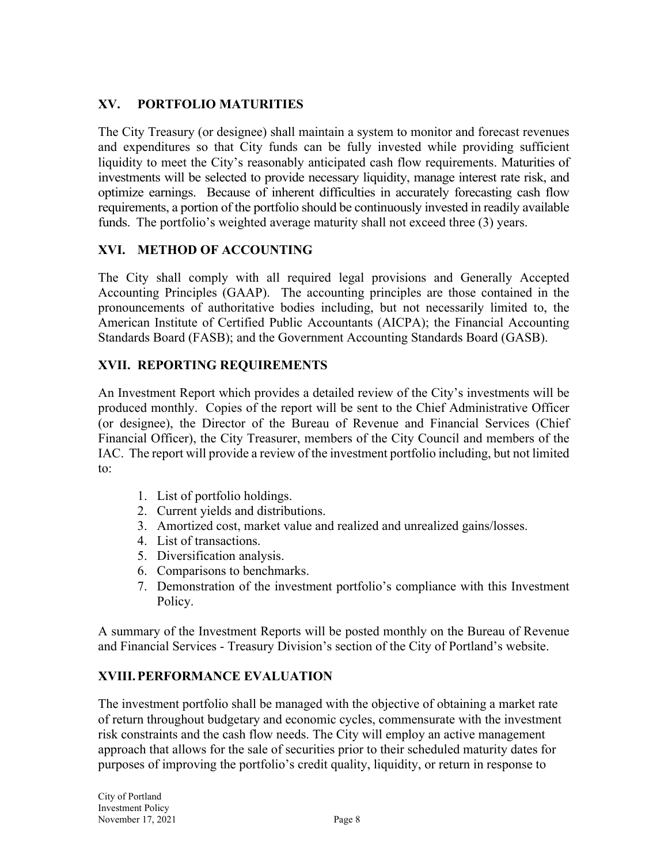# **XV. PORTFOLIO MATURITIES**

The City Treasury (or designee) shall maintain a system to monitor and forecast revenues and expenditures so that City funds can be fully invested while providing sufficient liquidity to meet the City's reasonably anticipated cash flow requirements. Maturities of investments will be selected to provide necessary liquidity, manage interest rate risk, and optimize earnings. Because of inherent difficulties in accurately forecasting cash flow requirements, a portion of the portfolio should be continuously invested in readily available funds. The portfolio's weighted average maturity shall not exceed three (3) years.

## **XVI. METHOD OF ACCOUNTING**

The City shall comply with all required legal provisions and Generally Accepted Accounting Principles (GAAP). The accounting principles are those contained in the pronouncements of authoritative bodies including, but not necessarily limited to, the American Institute of Certified Public Accountants (AICPA); the Financial Accounting Standards Board (FASB); and the Government Accounting Standards Board (GASB).

## **XVII. REPORTING REQUIREMENTS**

An Investment Report which provides a detailed review of the City's investments will be produced monthly. Copies of the report will be sent to the Chief Administrative Officer (or designee), the Director of the Bureau of Revenue and Financial Services (Chief Financial Officer), the City Treasurer, members of the City Council and members of the IAC. The report will provide a review of the investment portfolio including, but not limited to:

- 1. List of portfolio holdings.
- 2. Current yields and distributions.
- 3. Amortized cost, market value and realized and unrealized gains/losses.
- 4. List of transactions.
- 5. Diversification analysis.
- 6. Comparisons to benchmarks.
- 7. Demonstration of the investment portfolio's compliance with this Investment Policy.

A summary of the Investment Reports will be posted monthly on the Bureau of Revenue and Financial Services - Treasury Division's section of the City of Portland's website.

## **XVIII.PERFORMANCE EVALUATION**

The investment portfolio shall be managed with the objective of obtaining a market rate of return throughout budgetary and economic cycles, commensurate with the investment risk constraints and the cash flow needs. The City will employ an active management approach that allows for the sale of securities prior to their scheduled maturity dates for purposes of improving the portfolio's credit quality, liquidity, or return in response to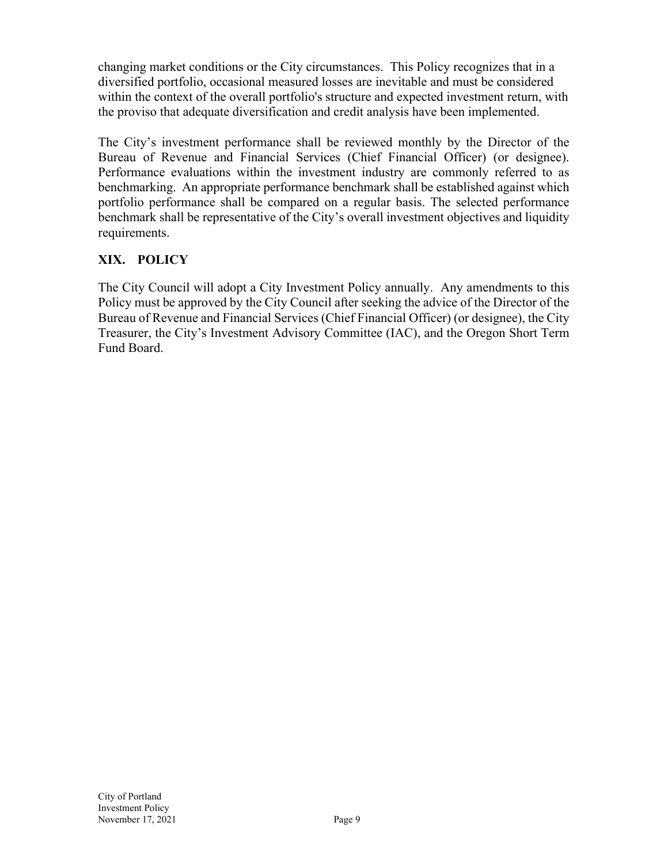changing market conditions or the City circumstances. This Policy recognizes that in a diversified portfolio, occasional measured losses are inevitable and must be considered within the context of the overall portfolio's structure and expected investment return, with the proviso that adequate diversification and credit analysis have been implemented.

The City's investment performance shall be reviewed monthly by the Director of the Bureau of Revenue and Financial Services (Chief Financial Officer) (or designee). Performance evaluations within the investment industry are commonly referred to as benchmarking. An appropriate performance benchmark shall be established against which portfolio performance shall be compared on a regular basis. The selected performance benchmark shall be representative of the City's overall investment objectives and liquidity requirements.

# **XIX. POLICY**

The City Council will adopt a City Investment Policy annually. Any amendments to this Policy must be approved by the City Council after seeking the advice of the Director of the Bureau of Revenue and Financial Services (Chief Financial Officer) (or designee), the City Treasurer, the City's Investment Advisory Committee (IAC), and the Oregon Short Term Fund Board.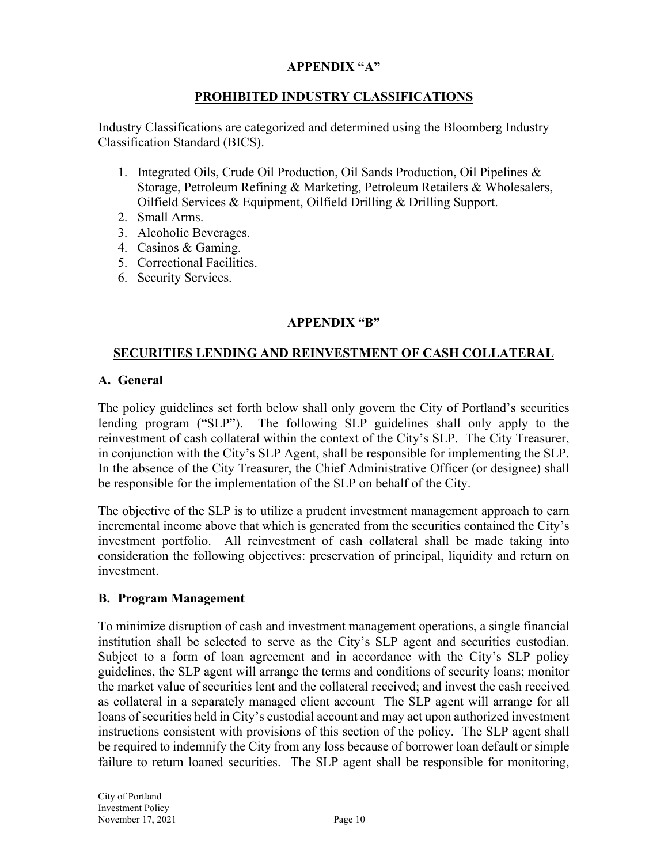#### **APPENDIX "A"**

#### **PROHIBITED INDUSTRY CLASSIFICATIONS**

Industry Classifications are categorized and determined using the Bloomberg Industry Classification Standard (BICS).

- 1. Integrated Oils, Crude Oil Production, Oil Sands Production, Oil Pipelines & Storage, Petroleum Refining & Marketing, Petroleum Retailers & Wholesalers, Oilfield Services & Equipment, Oilfield Drilling & Drilling Support.
- 2. Small Arms.
- 3. Alcoholic Beverages.
- 4. Casinos & Gaming.
- 5. Correctional Facilities.
- 6. Security Services.

## **APPENDIX "B"**

#### **SECURITIES LENDING AND REINVESTMENT OF CASH COLLATERAL**

#### **A. General**

The policy guidelines set forth below shall only govern the City of Portland's securities lending program ("SLP"). The following SLP guidelines shall only apply to the reinvestment of cash collateral within the context of the City's SLP. The City Treasurer, in conjunction with the City's SLP Agent, shall be responsible for implementing the SLP. In the absence of the City Treasurer, the Chief Administrative Officer (or designee) shall be responsible for the implementation of the SLP on behalf of the City.

The objective of the SLP is to utilize a prudent investment management approach to earn incremental income above that which is generated from the securities contained the City's investment portfolio. All reinvestment of cash collateral shall be made taking into consideration the following objectives: preservation of principal, liquidity and return on investment.

#### **B. Program Management**

To minimize disruption of cash and investment management operations, a single financial institution shall be selected to serve as the City's SLP agent and securities custodian. Subject to a form of loan agreement and in accordance with the City's SLP policy guidelines, the SLP agent will arrange the terms and conditions of security loans; monitor the market value of securities lent and the collateral received; and invest the cash received as collateral in a separately managed client account The SLP agent will arrange for all loans of securities held in City's custodial account and may act upon authorized investment instructions consistent with provisions of this section of the policy. The SLP agent shall be required to indemnify the City from any loss because of borrower loan default or simple failure to return loaned securities. The SLP agent shall be responsible for monitoring,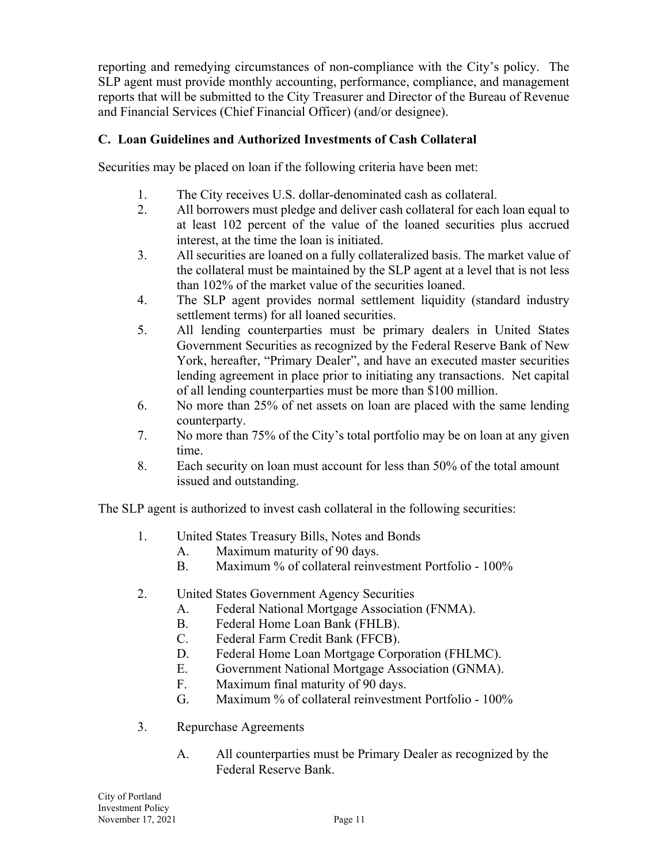reporting and remedying circumstances of non-compliance with the City's policy. The SLP agent must provide monthly accounting, performance, compliance, and management reports that will be submitted to the City Treasurer and Director of the Bureau of Revenue and Financial Services (Chief Financial Officer) (and/or designee).

## **C. Loan Guidelines and Authorized Investments of Cash Collateral**

Securities may be placed on loan if the following criteria have been met:

- 1. The City receives U.S. dollar-denominated cash as collateral.
- 2. All borrowers must pledge and deliver cash collateral for each loan equal to at least 102 percent of the value of the loaned securities plus accrued interest, at the time the loan is initiated.
- 3. All securities are loaned on a fully collateralized basis. The market value of the collateral must be maintained by the SLP agent at a level that is not less than 102% of the market value of the securities loaned.
- 4. The SLP agent provides normal settlement liquidity (standard industry settlement terms) for all loaned securities.
- 5. All lending counterparties must be primary dealers in United States Government Securities as recognized by the Federal Reserve Bank of New York, hereafter, "Primary Dealer", and have an executed master securities lending agreement in place prior to initiating any transactions. Net capital of all lending counterparties must be more than \$100 million.
- 6. No more than 25% of net assets on loan are placed with the same lending counterparty.
- 7. No more than 75% of the City's total portfolio may be on loan at any given time.
- 8. Each security on loan must account for less than 50% of the total amount issued and outstanding.

The SLP agent is authorized to invest cash collateral in the following securities:

- 1. United States Treasury Bills, Notes and Bonds
	- A. Maximum maturity of 90 days.
	- B. Maximum % of collateral reinvestment Portfolio 100%
- 2. United States Government Agency Securities
	- A. Federal National Mortgage Association (FNMA).
	- B. Federal Home Loan Bank (FHLB).
	- C. Federal Farm Credit Bank (FFCB).
	- D. Federal Home Loan Mortgage Corporation (FHLMC).
	- E. Government National Mortgage Association (GNMA).
	- F. Maximum final maturity of 90 days.
	- G. Maximum % of collateral reinvestment Portfolio 100%
- 3. Repurchase Agreements
	- A. All counterparties must be Primary Dealer as recognized by the Federal Reserve Bank.